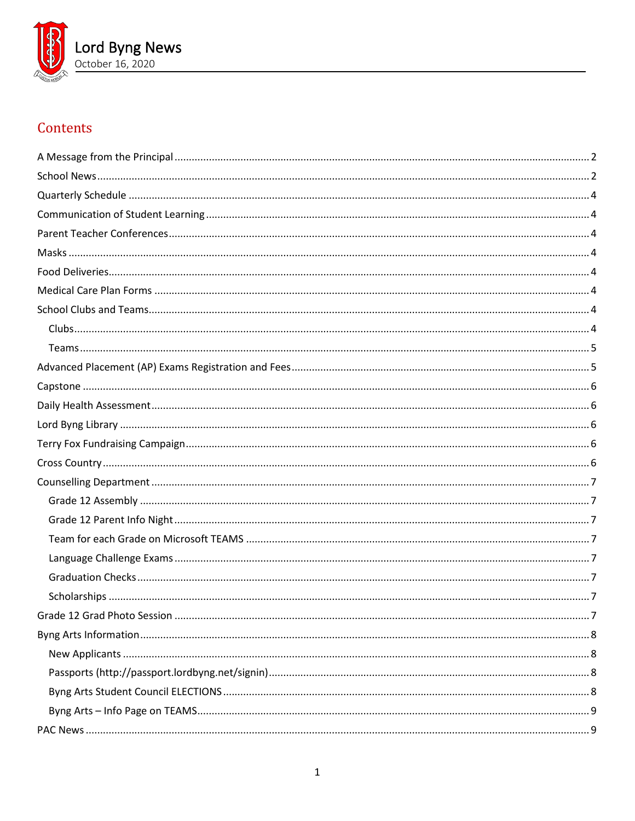

# Contents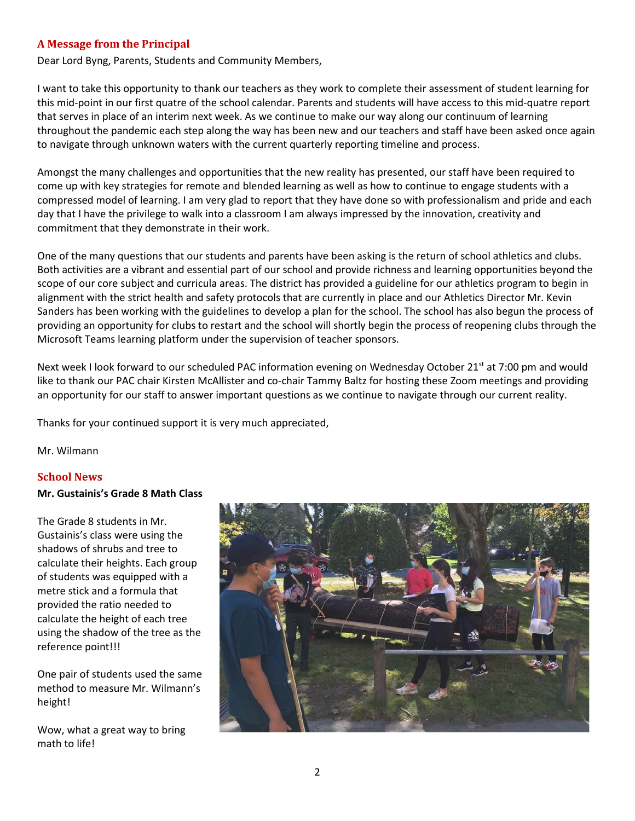#### <span id="page-1-0"></span>**A Message from the Principal**

Dear Lord Byng, Parents, Students and Community Members,

I want to take this opportunity to thank our teachers as they work to complete their assessment of student learning for this mid-point in our first quatre of the school calendar. Parents and students will have access to this mid-quatre report that serves in place of an interim next week. As we continue to make our way along our continuum of learning throughout the pandemic each step along the way has been new and our teachers and staff have been asked once again to navigate through unknown waters with the current quarterly reporting timeline and process.

Amongst the many challenges and opportunities that the new reality has presented, our staff have been required to come up with key strategies for remote and blended learning as well as how to continue to engage students with a compressed model of learning. I am very glad to report that they have done so with professionalism and pride and each day that I have the privilege to walk into a classroom I am always impressed by the innovation, creativity and commitment that they demonstrate in their work.

One of the many questions that our students and parents have been asking is the return of school athletics and clubs. Both activities are a vibrant and essential part of our school and provide richness and learning opportunities beyond the scope of our core subject and curricula areas. The district has provided a guideline for our athletics program to begin in alignment with the strict health and safety protocols that are currently in place and our Athletics Director Mr. Kevin Sanders has been working with the guidelines to develop a plan for the school. The school has also begun the process of providing an opportunity for clubs to restart and the school will shortly begin the process of reopening clubs through the Microsoft Teams learning platform under the supervision of teacher sponsors.

Next week I look forward to our scheduled PAC information evening on Wednesday October 21<sup>st</sup> at 7:00 pm and would like to thank our PAC chair Kirsten McAllister and co-chair Tammy Baltz for hosting these Zoom meetings and providing an opportunity for our staff to answer important questions as we continue to navigate through our current reality.

Thanks for your continued support it is very much appreciated,

<span id="page-1-1"></span>Mr. Wilmann

#### **School News**

#### **Mr. Gustainis's Grade 8 Math Class**

The Grade 8 students in Mr. Gustainis's class were using the shadows of shrubs and tree to calculate their heights. Each group of students was equipped with a metre stick and a formula that provided the ratio needed to calculate the height of each tree using the shadow of the tree as the reference point!!!

One pair of students used the same method to measure Mr. Wilmann's height!

Wow, what a great way to bring math to life!

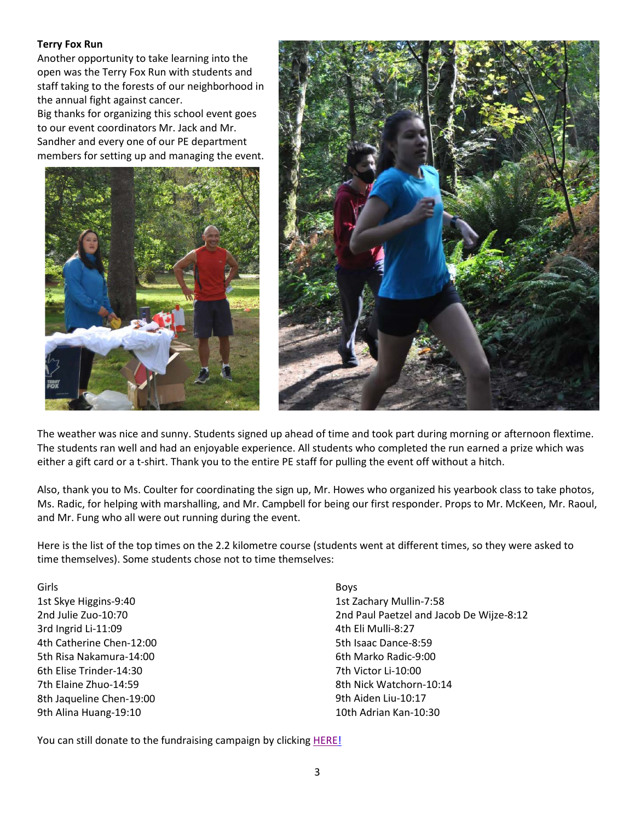#### **Terry Fox Run**

Another opportunity to take learning into the open was the Terry Fox Run with students and staff taking to the forests of our neighborhood in the annual fight against cancer.

Big thanks for organizing this school event goes to our event coordinators Mr. Jack and Mr. Sandher and every one of our PE department members for setting up and managing the event.





The weather was nice and sunny. Students signed up ahead of time and took part during morning or afternoon flextime. The students ran well and had an enjoyable experience. All students who completed the run earned a prize which was either a gift card or a t-shirt. Thank you to the entire PE staff for pulling the event off without a hitch.

Also, thank you to Ms. Coulter for coordinating the sign up, Mr. Howes who organized his yearbook class to take photos, Ms. Radic, for helping with marshalling, and Mr. Campbell for being our first responder. Props to Mr. McKeen, Mr. Raoul, and Mr. Fung who all were out running during the event.

Here is the list of the top times on the 2.2 kilometre course (students went at different times, so they were asked to time themselves). Some students chose not to time themselves:

Girls 1st Skye Higgins-9:40 2nd Julie Zuo-10:70 3rd Ingrid Li-11:09 4th Catherine Chen-12:00 5th Risa Nakamura-14:00 6th Elise Trinder-14:30 7th Elaine Zhuo-14:59 8th Jaqueline Chen-19:00 9th Alina Huang-19:10

Boys 1st Zachary Mullin-7:58 2nd Paul Paetzel and Jacob De Wijze-8:12 4th Eli Mulli-8:27 5th Isaac Dance-8:59 6th Marko Radic-9:00 7th Victor Li-10:00 8th Nick Watchorn-10:14 9th Aiden Liu-10:17 10th Adrian Kan-10:30

You can still donate to the fundraising campaign by clicking [HERE!](https://secure.terryfox.ca/registrant/TeamFundraisingPage.aspx?TeamID=915903)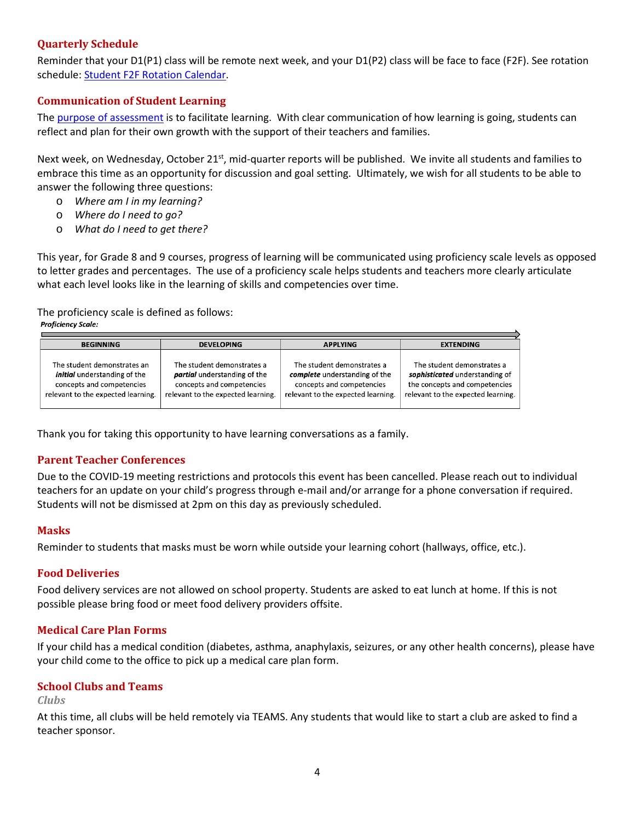## <span id="page-3-0"></span>**Quarterly Schedule**

Reminder that your D1(P1) class will be remote next week, and your D1(P2) class will be face to face (F2F). See rotation schedule: [Student F2F Rotation Calendar.](https://www.vsb.bc.ca/repository/SBAttachments/8e11130a-23bc-4157-9294-1c252018cc4d_STUDENTF2FandRemoteBlockCalendar2020-2021.pdf)

#### <span id="page-3-1"></span>**Communication of Student Learning**

The [purpose of assessment](https://www.vsb.bc.ca/site/csl/assessment/Pages/Guiding-Principles-of-Assessment.aspx) is to facilitate learning. With clear communication of how learning is going, students can reflect and plan for their own growth with the support of their teachers and families.

Next week, on Wednesday, October 21<sup>st</sup>, mid-quarter reports will be published. We invite all students and families to embrace this time as an opportunity for discussion and goal setting. Ultimately, we wish for all students to be able to answer the following three questions:

- o *Where am I in my learning?*
- o *Where do I need to go?*
- o *What do I need to get there?*

This year, for Grade 8 and 9 courses, progress of learning will be communicated using proficiency scale levels as opposed to letter grades and percentages. The use of a proficiency scale helps students and teachers more clearly articulate what each level looks like in the learning of skills and competencies over time.

The proficiency scale is defined as follows:<br>**Proficiency Scale:** 

| <b>BEGINNING</b>                                                                                                                      | <b>DEVELOPING</b>                                                                                                             | <b>APPLYING</b>                                                                                                                | <b>EXTENDING</b>                                                                                                                    |  |
|---------------------------------------------------------------------------------------------------------------------------------------|-------------------------------------------------------------------------------------------------------------------------------|--------------------------------------------------------------------------------------------------------------------------------|-------------------------------------------------------------------------------------------------------------------------------------|--|
| The student demonstrates an<br><i>initial</i> understanding of the<br>concepts and competencies<br>relevant to the expected learning. | The student demonstrates a<br>partial understanding of the<br>concepts and competencies<br>relevant to the expected learning. | The student demonstrates a<br>complete understanding of the<br>concepts and competencies<br>relevant to the expected learning. | The student demonstrates a<br>sophisticated understanding of<br>the concepts and competencies<br>relevant to the expected learning. |  |

<span id="page-3-2"></span>Thank you for taking this opportunity to have learning conversations as a family.

#### **Parent Teacher Conferences**

Due to the COVID-19 meeting restrictions and protocols this event has been cancelled. Please reach out to individual teachers for an update on your child's progress through e-mail and/or arrange for a phone conversation if required. Students will not be dismissed at 2pm on this day as previously scheduled.

#### <span id="page-3-3"></span>**Masks**

<span id="page-3-4"></span>Reminder to students that masks must be worn while outside your learning cohort (hallways, office, etc.).

#### **Food Deliveries**

Food delivery services are not allowed on school property. Students are asked to eat lunch at home. If this is not possible please bring food or meet food delivery providers offsite.

#### <span id="page-3-5"></span>**Medical Care Plan Forms**

If your child has a medical condition (diabetes, asthma, anaphylaxis, seizures, or any other health concerns), please have your child come to the office to pick up a medical care plan form.

#### <span id="page-3-6"></span>**School Clubs and Teams**

#### <span id="page-3-7"></span>*Clubs*

At this time, all clubs will be held remotely via TEAMS. Any students that would like to start a club are asked to find a teacher sponsor.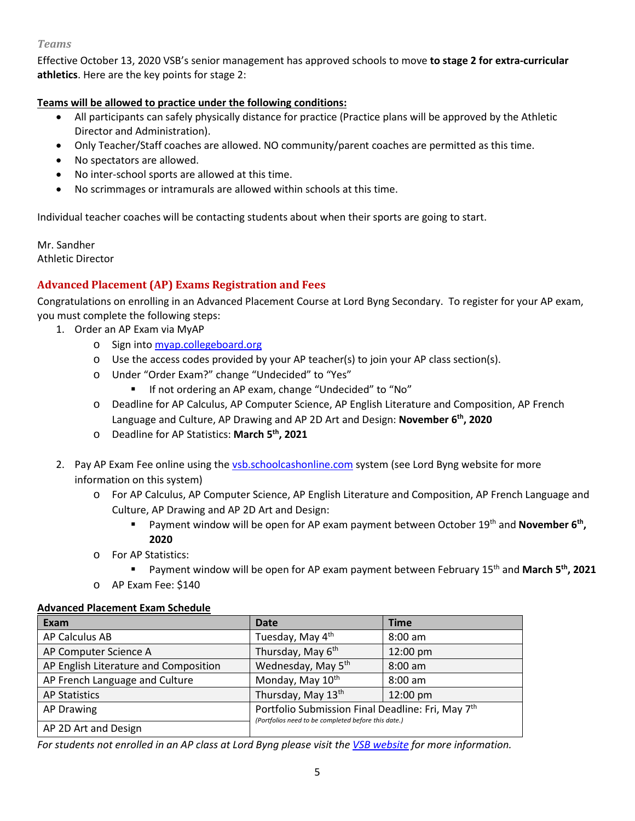#### <span id="page-4-0"></span>*Teams*

Effective October 13, 2020 VSB's senior management has approved schools to move **to stage 2 for extra-curricular athletics**. Here are the key points for stage 2:

## **Teams will be allowed to practice under the following conditions:**

- All participants can safely physically distance for practice (Practice plans will be approved by the Athletic Director and Administration).
- Only Teacher/Staff coaches are allowed. NO community/parent coaches are permitted as this time.
- No spectators are allowed.
- No inter-school sports are allowed at this time.
- No scrimmages or intramurals are allowed within schools at this time.

Individual teacher coaches will be contacting students about when their sports are going to start.

Mr. Sandher Athletic Director

## <span id="page-4-1"></span>**Advanced Placement (AP) Exams Registration and Fees**

Congratulations on enrolling in an Advanced Placement Course at Lord Byng Secondary. To register for your AP exam, you must complete the following steps:

- 1. Order an AP Exam via MyAP
	- o Sign into [myap.collegeboard.org](https://myap.collegeboard.org/login)
	- o Use the access codes provided by your AP teacher(s) to join your AP class section(s).
	- o Under "Order Exam?" change "Undecided" to "Yes"
		- **If not ordering an AP exam, change "Undecided" to "No"**
	- o Deadline for AP Calculus, AP Computer Science, AP English Literature and Composition, AP French Language and Culture, AP Drawing and AP 2D Art and Design: **November 6th, 2020**
	- o Deadline for AP Statistics: **March 5th, 2021**
- 2. Pay AP Exam Fee online using the [vsb.schoolcashonline.com](https://vsb.schoolcashonline.com/) system (see Lord Byng website for more information on this system)
	- o For AP Calculus, AP Computer Science, AP English Literature and Composition, AP French Language and Culture, AP Drawing and AP 2D Art and Design:
		- Payment window will be open for AP exam payment between October 19<sup>th</sup> and **November 6<sup>th</sup>**, **2020**
	- o For AP Statistics:
		- Payment window will be open for AP exam payment between February 15<sup>th</sup> and March 5<sup>th</sup>, 2021
	- o AP Exam Fee: \$140

#### **Advanced Placement Exam Schedule**

| Exam                                  | <b>Date</b>                                                                                              | <b>Time</b> |
|---------------------------------------|----------------------------------------------------------------------------------------------------------|-------------|
| AP Calculus AB                        | Tuesday, May 4th                                                                                         | $8:00$ am   |
| AP Computer Science A                 | Thursday, May 6th                                                                                        | 12:00 pm    |
| AP English Literature and Composition | Wednesday, May 5 <sup>th</sup>                                                                           | 8:00 am     |
| AP French Language and Culture        | Monday, May 10 <sup>th</sup>                                                                             | $8:00$ am   |
| <b>AP Statistics</b>                  | Thursday, May 13th                                                                                       | 12:00 pm    |
| <b>AP Drawing</b>                     | Portfolio Submission Final Deadline: Fri, May 7th<br>(Portfolios need to be completed before this date.) |             |
| AP 2D Art and Design                  |                                                                                                          |             |

*For students not enrolled in an AP class at Lord Byng please visit the [VSB website](https://www.vsb.bc.ca/Student_Learning/Secondary/Advanced_Placement_Exams/Pages/Default.aspx) for more information.*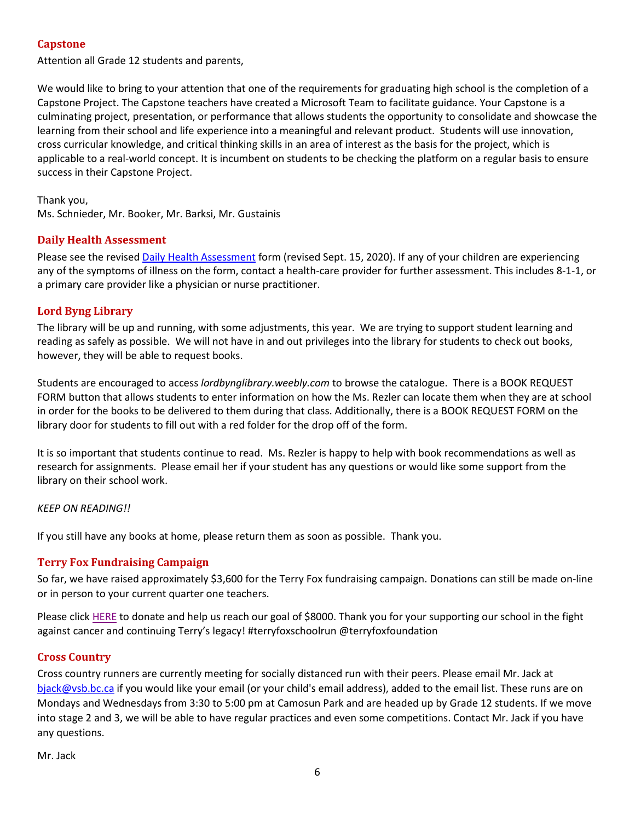## <span id="page-5-0"></span>**Capstone**

Attention all Grade 12 students and parents,

We would like to bring to your attention that one of the requirements for graduating high school is the completion of a Capstone Project. The Capstone teachers have created a Microsoft Team to facilitate guidance. Your Capstone is a culminating project, presentation, or performance that allows students the opportunity to consolidate and showcase the learning from their school and life experience into a meaningful and relevant product. Students will use innovation, cross curricular knowledge, and critical thinking skills in an area of interest as the basis for the project, which is applicable to a real-world concept. It is incumbent on students to be checking the platform on a regular basis to ensure success in their Capstone Project.

Thank you, Ms. Schnieder, Mr. Booker, Mr. Barksi, Mr. Gustainis

#### <span id="page-5-1"></span>**Daily Health Assessment**

Please see the revised [Daily Health Assessment](https://www.vsb.bc.ca/repository/SBAttachments/8e11130a-23bc-4157-9294-1c252018cc4d_DailyHealthAssessment-Student_Sept15003.pdf) form (revised Sept. 15, 2020). If any of your children are experiencing any of the symptoms of illness on the form, contact a health-care provider for further assessment. This includes 8-1-1, or a primary care provider like a physician or nurse practitioner.

### <span id="page-5-2"></span>**Lord Byng Library**

The library will be up and running, with some adjustments, this year. We are trying to support student learning and reading as safely as possible. We will not have in and out privileges into the library for students to check out books, however, they will be able to request books.

Students are encouraged to access *lordbynglibrary.weebly.com* to browse the catalogue. There is a BOOK REQUEST FORM button that allows students to enter information on how the Ms. Rezler can locate them when they are at school in order for the books to be delivered to them during that class. Additionally, there is a BOOK REQUEST FORM on the library door for students to fill out with a red folder for the drop off of the form.

It is so important that students continue to read. Ms. Rezler is happy to help with book recommendations as well as research for assignments. Please email her if your student has any questions or would like some support from the library on their school work.

#### *KEEP ON READING!!*

<span id="page-5-3"></span>If you still have any books at home, please return them as soon as possible. Thank you.

#### **Terry Fox Fundraising Campaign**

So far, we have raised approximately \$3,600 for the Terry Fox fundraising campaign. Donations can still be made on-line or in person to your current quarter one teachers.

Please click [HERE](https://secure.terryfox.ca/registrant/TeamFundraisingPage.aspx?TeamID=915903) to donate and help us reach our goal of \$8000. Thank you for your supporting our school in the fight against cancer and continuing Terry's legacy! #terryfoxschoolrun @terryfoxfoundation

#### <span id="page-5-4"></span>**Cross Country**

Cross country runners are currently meeting for socially distanced run with their peers. Please email Mr. Jack at [bjack@vsb.bc.ca](mailto:bjack@vsb.bc.ca) if you would like your email (or your child's email address), added to the email list. These runs are on Mondays and Wednesdays from 3:30 to 5:00 pm at Camosun Park and are headed up by Grade 12 students. If we move into stage 2 and 3, we will be able to have regular practices and even some competitions. Contact Mr. Jack if you have any questions.

Mr. Jack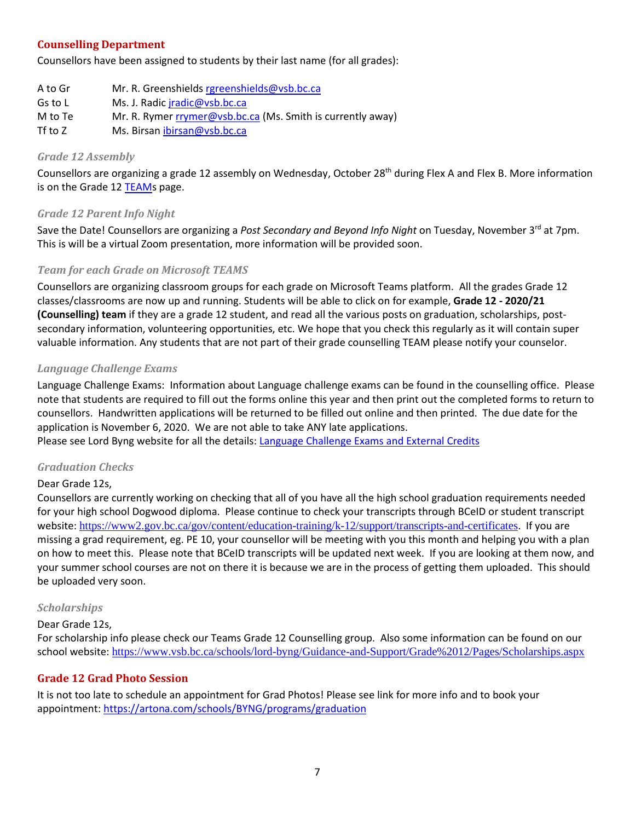## <span id="page-6-0"></span>**Counselling Department**

Counsellors have been assigned to students by their last name (for all grades):

| A to Gr | Mr. R. Greenshields rgreenshields@vsb.bc.ca                 |
|---------|-------------------------------------------------------------|
| Gs to L | Ms. J. Radic jradic@vsb.bc.ca                               |
| M to Te | Mr. R. Rymer rrymer@vsb.bc.ca (Ms. Smith is currently away) |
| Tf to Z | Ms. Birsan ibirsan@vsb.bc.ca                                |

#### <span id="page-6-1"></span>*Grade 12 Assembly*

Counsellors are organizing a grade 12 assembly on Wednesday, October 28<sup>th</sup> during Flex A and Flex B. More information is on the Grade 12 [TEAMs](https://teams.microsoft.com/l/channel/19%3ae7e4fec8cb2e4292b0ddc74d3dbca036%40thread.tacv2/General?groupId=1a3c2e10-7b6c-46ac-8286-7f303f1e4397&tenantId=0b8a2e58-7b30-4a08-bab7-d75559e0e3a5) page.

### <span id="page-6-2"></span>*Grade 12 Parent Info Night*

Save the Date! Counsellors are organizing a *Post Secondary and Beyond Info Night* on Tuesday, November 3<sup>rd</sup> at 7pm. This is will be a virtual Zoom presentation, more information will be provided soon.

### <span id="page-6-3"></span>*Team for each Grade on Microsoft TEAMS*

Counsellors are organizing classroom groups for each grade on Microsoft Teams platform. All the grades Grade 12 classes/classrooms are now up and running. Students will be able to click on for example, **Grade 12 - 2020/21 (Counselling) team** if they are a grade 12 student, and read all the various posts on graduation, scholarships, postsecondary information, volunteering opportunities, etc. We hope that you check this regularly as it will contain super valuable information. Any students that are not part of their grade counselling TEAM please notify your counselor.

#### <span id="page-6-4"></span>*Language Challenge Exams*

Language Challenge Exams: Information about Language challenge exams can be found in the counselling office. Please note that students are required to fill out the forms online this year and then print out the completed forms to return to counsellors. Handwritten applications will be returned to be filled out online and then printed. The due date for the application is November 6, 2020. We are not able to take ANY late applications.

<span id="page-6-5"></span>Please see Lord Byng website for all the details: [Language Challenge Exams and External Credits](https://www.vsb.bc.ca/schools/lord-byng/Teaching-and-Learning/Classes-and-Departments/Counselling/Pages/Language-Challenge-Exams-and-External-Credits.aspx?rf=830e511d-a1a4-4faf-99d0-28b1736820df)

#### *Graduation Checks*

#### Dear Grade 12s,

Counsellors are currently working on checking that all of you have all the high school graduation requirements needed for your high school Dogwood diploma. Please continue to check your transcripts through BCeID or student transcript website: <https://www2.gov.bc.ca/gov/content/education-training/k-12/support/transcripts-and-certificates>. If you are missing a grad requirement, eg. PE 10, your counsellor will be meeting with you this month and helping you with a plan on how to meet this. Please note that BCeID transcripts will be updated next week. If you are looking at them now, and your summer school courses are not on there it is because we are in the process of getting them uploaded. This should be uploaded very soon.

#### <span id="page-6-6"></span>*Scholarships*

#### Dear Grade 12s,

For scholarship info please check our Teams Grade 12 Counselling group. Also some information can be found on our school website: <https://www.vsb.bc.ca/schools/lord-byng/Guidance-and-Support/Grade%2012/Pages/Scholarships.aspx>

#### <span id="page-6-7"></span>**Grade 12 Grad Photo Session**

It is not too late to schedule an appointment for Grad Photos! Please see link for more info and to book your appointment:<https://artona.com/schools/BYNG/programs/graduation>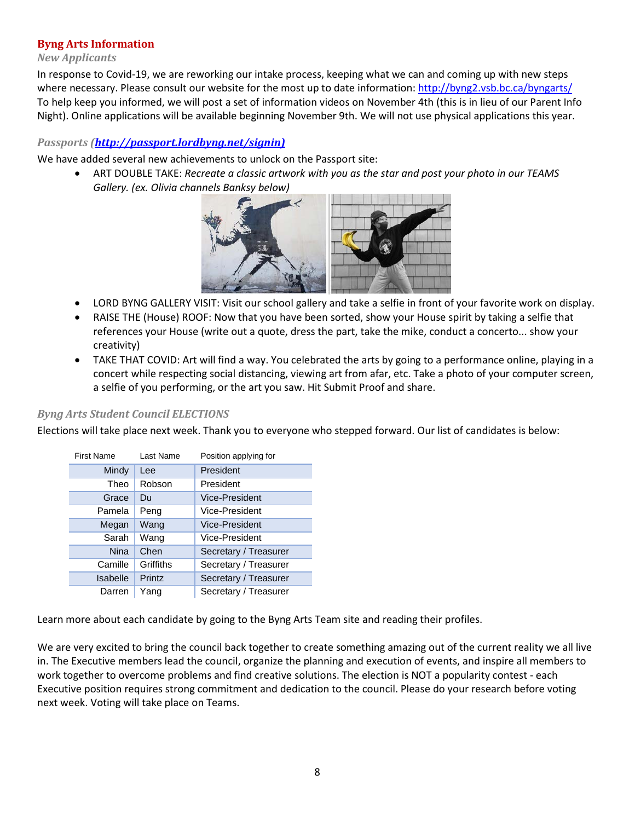### <span id="page-7-0"></span>**Byng Arts Information**

#### <span id="page-7-1"></span>*New Applicants*

In response to Covid-19, we are reworking our intake process, keeping what we can and coming up with new steps where necessary. Please consult our website for the most up to date information:<http://byng2.vsb.bc.ca/byngarts/> To help keep you informed, we will post a set of information videos on November 4th (this is in lieu of our Parent Info Night). Online applications will be available beginning November 9th. We will not use physical applications this year.

## <span id="page-7-2"></span>*Passports [\(http://passport.lordbyng.net/signin\)](http://passport.lordbyng.net/signin)*

We have added several new achievements to unlock on the Passport site:

• ART DOUBLE TAKE: *Recreate a classic artwork with you as the star and post your photo in our TEAMS Gallery. (ex. Olivia channels Banksy below)*



- LORD BYNG GALLERY VISIT: Visit our school gallery and take a selfie in front of your favorite work on display.
- RAISE THE (House) ROOF: Now that you have been sorted, show your House spirit by taking a selfie that references your House (write out a quote, dress the part, take the mike, conduct a concerto... show your creativity)
- TAKE THAT COVID: Art will find a way. You celebrated the arts by going to a performance online, playing in a concert while respecting social distancing, viewing art from afar, etc. Take a photo of your computer screen, a selfie of you performing, or the art you saw. Hit Submit Proof and share.

## <span id="page-7-3"></span>*Byng Arts Student Council ELECTIONS*

Elections will take place next week. Thank you to everyone who stepped forward. Our list of candidates is below:

| <b>First Name</b> | Last Name | Position applying for |
|-------------------|-----------|-----------------------|
| Mindy             | Lee       | President             |
| Theo              | Robson    | President             |
| Grace             | Du        | Vice-President        |
| Pamela            | Peng      | Vice-President        |
| Megan             | Wang      | Vice-President        |
| Sarah             | Wang      | Vice-President        |
| <b>Nina</b>       | Chen      | Secretary / Treasurer |
| Camille           | Griffiths | Secretary / Treasurer |
| Isabelle          | Printz    | Secretary / Treasurer |
| Darren            | Yang      | Secretary / Treasurer |

Learn more about each candidate by going to the Byng Arts Team site and reading their profiles.

We are very excited to bring the council back together to create something amazing out of the current reality we all live in. The Executive members lead the council, organize the planning and execution of events, and inspire all members to work together to overcome problems and find creative solutions. The election is NOT a popularity contest - each Executive position requires strong commitment and dedication to the council. Please do your research before voting next week. Voting will take place on Teams.